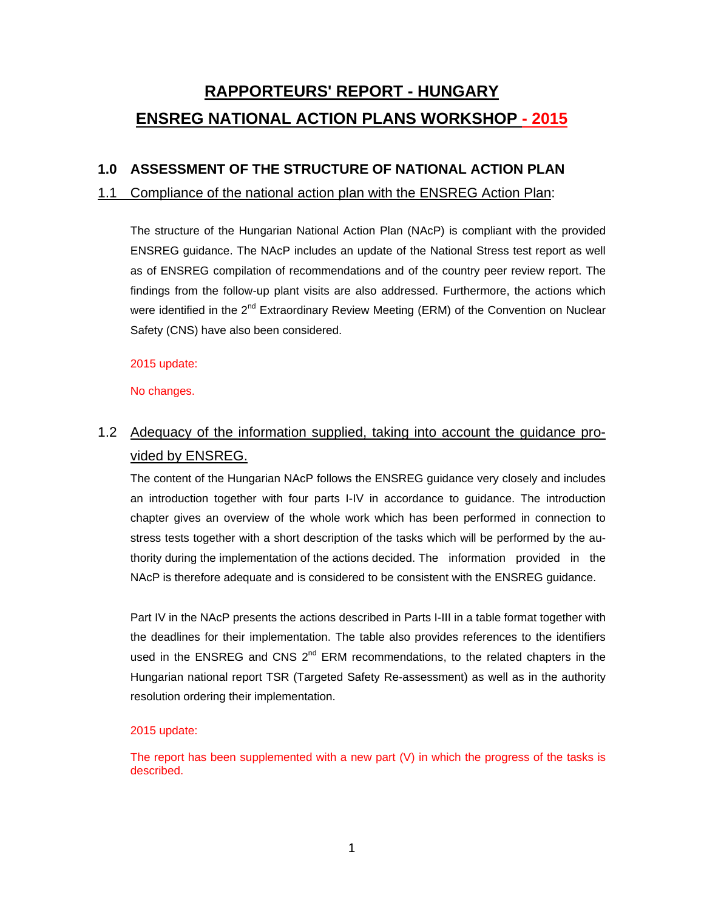# **RAPPORTEURS' REPORT - HUNGARY ENSREG NATIONAL ACTION PLANS WORKSHOP - 2015**

## **1.0 ASSESSMENT OF THE STRUCTURE OF NATIONAL ACTION PLAN**

### 1.1 Compliance of the national action plan with the ENSREG Action Plan:

The structure of the Hungarian National Action Plan (NAcP) is compliant with the provided ENSREG guidance. The NAcP includes an update of the National Stress test report as well as of ENSREG compilation of recommendations and of the country peer review report. The findings from the follow-up plant visits are also addressed. Furthermore, the actions which were identified in the 2<sup>nd</sup> Extraordinary Review Meeting (ERM) of the Convention on Nuclear Safety (CNS) have also been considered.

2015 update:

No changes.

## 1.2 Adequacy of the information supplied, taking into account the guidance provided by ENSREG.

The content of the Hungarian NAcP follows the ENSREG guidance very closely and includes an introduction together with four parts I-IV in accordance to guidance. The introduction chapter gives an overview of the whole work which has been performed in connection to stress tests together with a short description of the tasks which will be performed by the authority during the implementation of the actions decided. The information provided in the NAcP is therefore adequate and is considered to be consistent with the ENSREG guidance.

Part IV in the NAcP presents the actions described in Parts I-III in a table format together with the deadlines for their implementation. The table also provides references to the identifiers used in the ENSREG and CNS 2<sup>nd</sup> ERM recommendations, to the related chapters in the Hungarian national report TSR (Targeted Safety Re-assessment) as well as in the authority resolution ordering their implementation.

#### 2015 update:

The report has been supplemented with a new part (V) in which the progress of the tasks is described.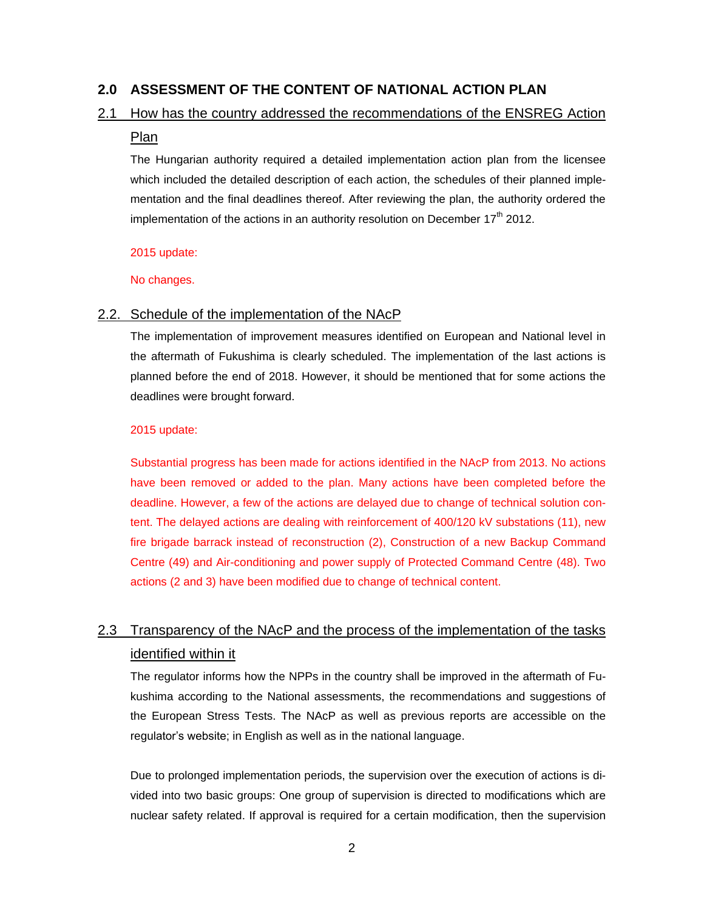### **2.0 ASSESSMENT OF THE CONTENT OF NATIONAL ACTION PLAN**

### 2.1 How has the country addressed the recommendations of the ENSREG Action

#### Plan

The Hungarian authority required a detailed implementation action plan from the licensee which included the detailed description of each action, the schedules of their planned implementation and the final deadlines thereof. After reviewing the plan, the authority ordered the implementation of the actions in an authority resolution on December  $17<sup>th</sup>$  2012.

#### 2015 update:

#### No changes.

#### 2.2. Schedule of the implementation of the NAcP

The implementation of improvement measures identified on European and National level in the aftermath of Fukushima is clearly scheduled. The implementation of the last actions is planned before the end of 2018. However, it should be mentioned that for some actions the deadlines were brought forward.

#### 2015 update:

Substantial progress has been made for actions identified in the NAcP from 2013. No actions have been removed or added to the plan. Many actions have been completed before the deadline. However, a few of the actions are delayed due to change of technical solution content. The delayed actions are dealing with reinforcement of 400/120 kV substations (11), new fire brigade barrack instead of reconstruction (2), Construction of a new Backup Command Centre (49) and Air-conditioning and power supply of Protected Command Centre (48). Two actions (2 and 3) have been modified due to change of technical content.

## 2.3 Transparency of the NAcP and the process of the implementation of the tasks identified within it

The regulator informs how the NPPs in the country shall be improved in the aftermath of Fukushima according to the National assessments, the recommendations and suggestions of the European Stress Tests. The NAcP as well as previous reports are accessible on the regulator's website; in English as well as in the national language.

Due to prolonged implementation periods, the supervision over the execution of actions is divided into two basic groups: One group of supervision is directed to modifications which are nuclear safety related. If approval is required for a certain modification, then the supervision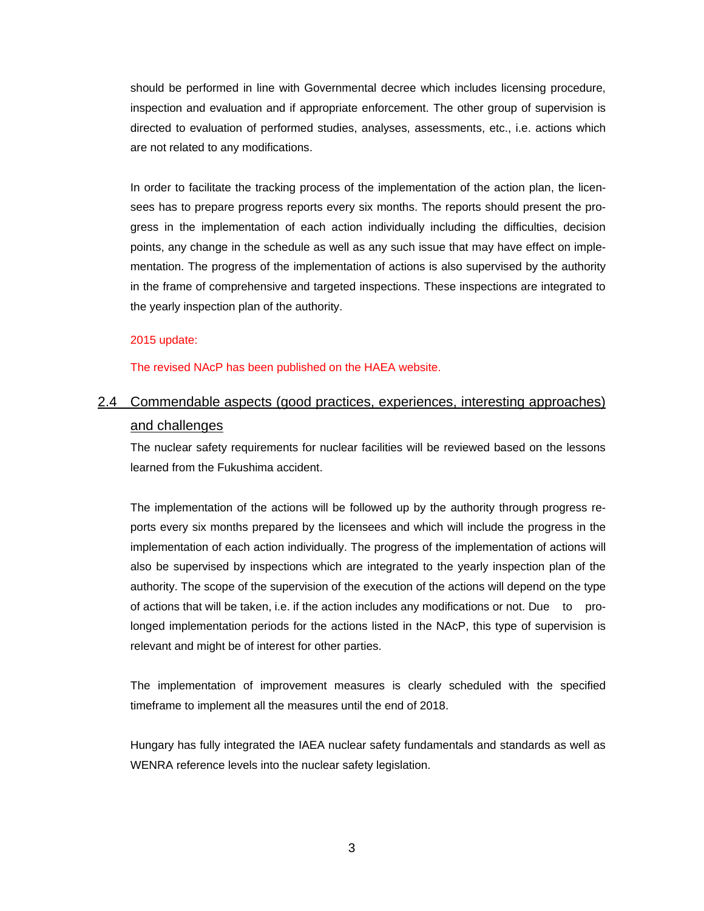should be performed in line with Governmental decree which includes licensing procedure, inspection and evaluation and if appropriate enforcement. The other group of supervision is directed to evaluation of performed studies, analyses, assessments, etc., i.e. actions which are not related to any modifications.

In order to facilitate the tracking process of the implementation of the action plan, the licensees has to prepare progress reports every six months. The reports should present the progress in the implementation of each action individually including the difficulties, decision points, any change in the schedule as well as any such issue that may have effect on implementation. The progress of the implementation of actions is also supervised by the authority in the frame of comprehensive and targeted inspections. These inspections are integrated to the yearly inspection plan of the authority.

#### 2015 update:

The revised NAcP has been published on the HAEA website.

## 2.4 Commendable aspects (good practices, experiences, interesting approaches) and challenges

The nuclear safety requirements for nuclear facilities will be reviewed based on the lessons learned from the Fukushima accident.

The implementation of the actions will be followed up by the authority through progress reports every six months prepared by the licensees and which will include the progress in the implementation of each action individually. The progress of the implementation of actions will also be supervised by inspections which are integrated to the yearly inspection plan of the authority. The scope of the supervision of the execution of the actions will depend on the type of actions that will be taken, i.e. if the action includes any modifications or not. Due to prolonged implementation periods for the actions listed in the NAcP, this type of supervision is relevant and might be of interest for other parties.

The implementation of improvement measures is clearly scheduled with the specified timeframe to implement all the measures until the end of 2018.

Hungary has fully integrated the IAEA nuclear safety fundamentals and standards as well as WENRA reference levels into the nuclear safety legislation.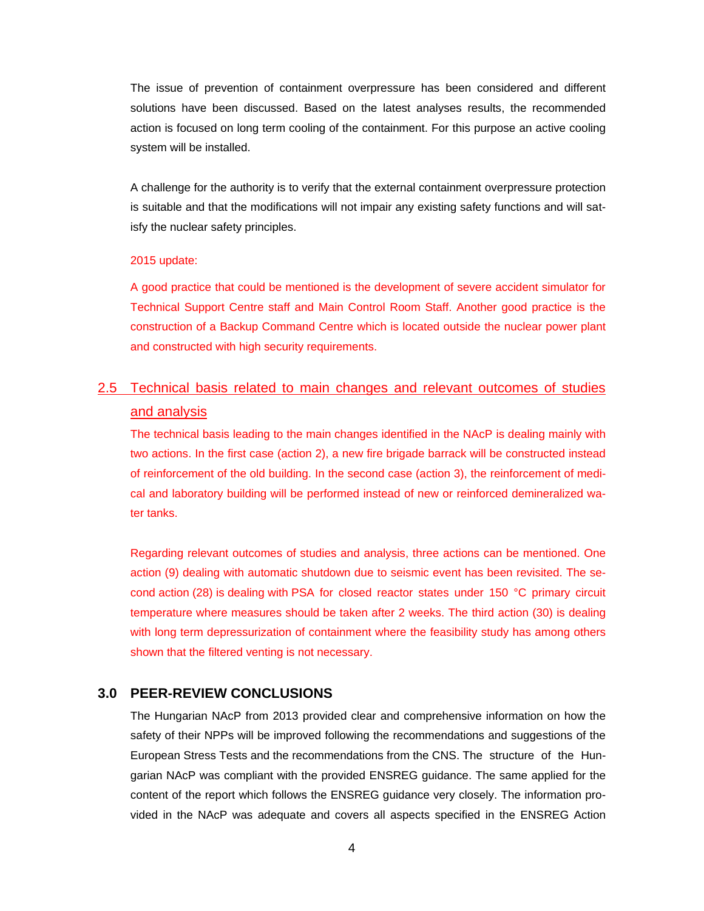The issue of prevention of containment overpressure has been considered and different solutions have been discussed. Based on the latest analyses results, the recommended action is focused on long term cooling of the containment. For this purpose an active cooling system will be installed.

A challenge for the authority is to verify that the external containment overpressure protection is suitable and that the modifications will not impair any existing safety functions and will satisfy the nuclear safety principles.

#### 2015 update:

A good practice that could be mentioned is the development of severe accident simulator for Technical Support Centre staff and Main Control Room Staff. Another good practice is the construction of a Backup Command Centre which is located outside the nuclear power plant and constructed with high security requirements.

## 2.5 Technical basis related to main changes and relevant outcomes of studies and analysis

The technical basis leading to the main changes identified in the NAcP is dealing mainly with two actions. In the first case (action 2), a new fire brigade barrack will be constructed instead of reinforcement of the old building. In the second case (action 3), the reinforcement of medical and laboratory building will be performed instead of new or reinforced demineralized water tanks.

Regarding relevant outcomes of studies and analysis, three actions can be mentioned. One action (9) dealing with automatic shutdown due to seismic event has been revisited. The second action (28) is dealing with PSA for closed reactor states under 150 °C primary circuit temperature where measures should be taken after 2 weeks. The third action (30) is dealing with long term depressurization of containment where the feasibility study has among others shown that the filtered venting is not necessary.

### **3.0 PEER-REVIEW CONCLUSIONS**

The Hungarian NAcP from 2013 provided clear and comprehensive information on how the safety of their NPPs will be improved following the recommendations and suggestions of the European Stress Tests and the recommendations from the CNS. The structure of the Hungarian NAcP was compliant with the provided ENSREG guidance. The same applied for the content of the report which follows the ENSREG guidance very closely. The information provided in the NAcP was adequate and covers all aspects specified in the ENSREG Action